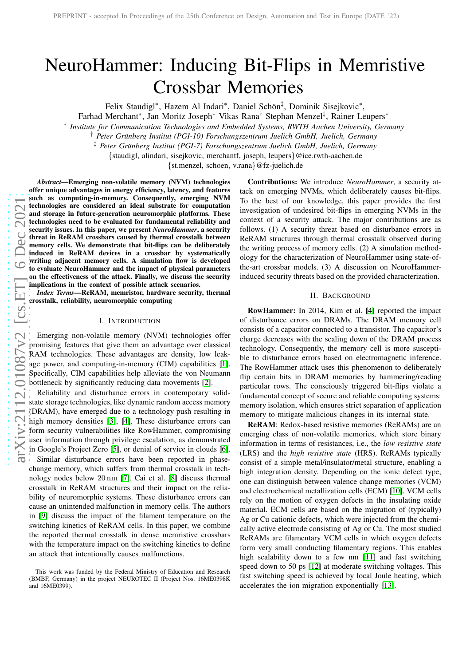# NeuroHammer: Inducing Bit-Flips in Memristive Crossbar Memories

Felix Staudigl\*, Hazem Al Indari\*, Daniel Schön<sup>‡</sup>, Dominik Sisejkovic\*,

Farhad Merchant\*, Jan Moritz Joseph\* Vikas Rana<sup>†</sup> Stephan Menzel<sup>‡</sup>, Rainer Leupers\*

∗ *Institute for Communication Technologies and Embedded Systems, RWTH Aachen University, Germany*

<sup>†</sup> Peter Grünberg Institut (PGI-10) Forschungszentrum Juelich GmbH, Juelich, Germany

‡ *Peter Grunberg Institut (PGI-7) Forschungszentrum Juelich GmbH, J ¨ uelich, Germany*

{staudigl, alindari, sisejkovic, merchantf, joseph, leupers}@ice.rwth-aachen.de

{st.menzel, schoen, v.rana}@fz-juelich.de

*Abstract*—Emerging non-volatile memory (NVM) technologies offer unique advantages in energy efficiency, latency, and features such as computing-in-memory. Consequently, emerging NVM technologies are considered an ideal substrate for computation and storage in future-generation neuromorphic platforms. These technologies need to be evaluated for fundamental reliability and security issues. In this paper, we present *NeuroHammer*, a security threat in ReRAM crossbars caused by thermal crosstalk between memory cells. We demonstrate that bit-flips can be deliberately induced in ReRAM devices in a crossbar by systematically writing adjacent memory cells. A simulation flow is develope d to evaluate NeuroHammer and the impact of physical parameters on the effectiveness of the attack. Finally, we discuss the security implications in the context of possible attack scenarios.

*Index Terms*—ReRAM, memristor, hardware security, thermal crosstalk, reliability, neuromorphic computing

## I. INTRODUCTION

Emerging non-volatile memory (NVM) technologies offer promising features that give them an advantage over classical RAM technologies. These advantages are density, low leakage power, and computing-in-memory (CIM) capabilities [\[1\]](#page-3-0). Specifically, CIM capabilities help alleviate the von Neumann bottleneck by significantly reducing data movements [\[2\]](#page-3-1).

Reliability and disturbance errors in contemporary solidstate storage technologies, like dynamic random access memory (DRAM), have emerged due to a technology push resulting in high memory densities [\[3\]](#page-3-2), [\[4\]](#page-3-3). These disturbance errors can form security vulnerabilities like RowHammer, compromising user information through privilege escalation, as demonstrated in Google's Project Zero [\[5\]](#page-3-4), or denial of service in clouds [\[6\]](#page-3-5). Similar disturbance errors have been reported in phasechange memory, which suffers from thermal crosstalk in tech-

nology nodes below 20 nm [\[7\]](#page-3-6). Cai et al. [\[8\]](#page-3-7) discuss thermal crosstalk in ReRAM structures and their impact on the reliability of neuromorphic systems. These disturbance errors can cause an unintended malfunction in memory cells. The author s in [\[9\]](#page-3-8) discuss the impact of the filament temperature on the switching kinetics of ReRAM cells. In this paper, we combine the reported thermal crosstalk in dense memristive crossbars with the temperature impact on the switching kinetics to define an attack that intentionally causes malfunctions.

Contributions: We introduce *NeuroHammer*, a security attack on emerging NVMs, which deliberately causes bit-flips. To the best of our knowledge, this paper provides the first investigation of undesired bit-flips in emerging NVMs in the context of a security attack. The major contributions are as follows. (1) A security threat based on disturbance errors i n ReRAM structures through thermal crosstalk observed durin g the writing process of memory cells. (2) A simulation method ology for the characterization of NeuroHammer using state-ofthe-art crossbar models. (3) A discussion on NeuroHammerinduced security threats based on the provided characterization.

#### II. BACKGROUND

RowHammer: In 2014, Kim et al. [\[4\]](#page-3-3) reported the impact of disturbance errors on DRAMs. The DRAM memory cell consists of a capacitor connected to a transistor. The capacitor's charge decreases with the scaling down of the DRAM process technology. Consequently, the memory cell is more suscepti ble to disturbance errors based on electromagnetic inference. The RowHammer attack uses this phenomenon to deliberately flip certain bits in DRAM memories by hammering/reading particular rows. The consciously triggered bit-flips violate a fundamental concept of secure and reliable computing systems: memory isolation, which ensures strict separation of application memory to mitigate malicious changes in its internal state.

ReRAM: Redox-based resistive memories (ReRAMs) are an emerging class of non-volatile memories, which store binar y information in terms of resistances, i.e., the *low resistive state* (LRS) and the *high resistive state* (HRS). ReRAMs typically consist of a simple metal/insulator/metal structure, enabling a high integration density. Depending on the ionic defect type, one can distinguish between valence change memories (VCM) and electrochemical metallization cells (ECM) [\[10\]](#page-3-9). VCM cells rely on the motion of oxygen defects in the insulating oxide material. ECM cells are based on the migration of (typically ) Ag or Cu cationic defects, which were injected from the chemi cally active electrode consisting of Ag or Cu. The most studied ReRAMs are filamentary VCM cells in which oxygen defects form very small conducting filamentary regions. This enable s high scalability down to a few nm [\[11\]](#page-3-10) and fast switching speed down to 50 ps [\[12\]](#page-3-11) at moderate switching voltages. This fast switching speed is achieved by local Joule heating, which accelerates the ion migration exponentially [\[13\]](#page-3-12).

This work was funded by the Federal Ministry of Education and Research (BMBF, Germany) in the project NEUROTEC II (Project Nos. 16ME0398K and 16ME0399).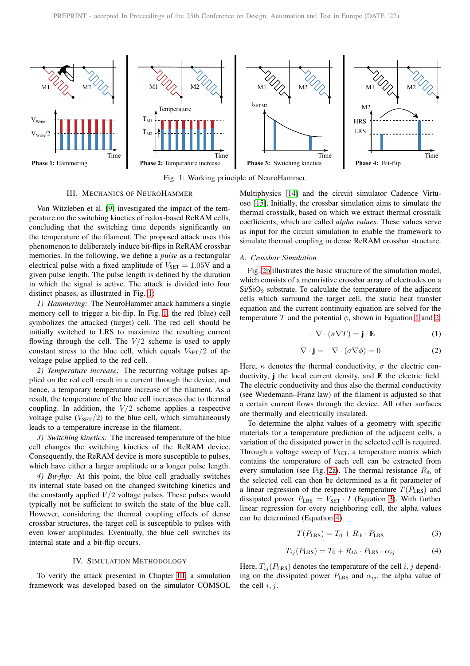<span id="page-1-0"></span>

Fig. 1: Working principle of NeuroHammer.

# III. MECHANICS OF NEUROHAMMER

<span id="page-1-1"></span>Von Witzleben et al. [\[9\]](#page-3-8) investigated the impact of the temperature on the switching kinetics of redox-based ReRAM cells, concluding that the switching time depends significantly on the temperature of the filament. The proposed attack uses this phenomenon to deliberately induce bit-flips in ReRAM crossbar memories. In the following, we define a *pulse* as a rectangular electrical pulse with a fixed amplitude of  $V_{\text{SET}} = 1.05$ V and a given pulse length. The pulse length is defined by the duration in which the signal is active. The attack is divided into four distinct phases, as illustrated in Fig. [1:](#page-1-0)

*1) Hammering:* The NeuroHammer attack hammers a single memory cell to trigger a bit-flip. In Fig. [1,](#page-1-0) the red (blue) cell symbolizes the attacked (target) cell. The red cell should be initially switched to LRS to maximize the resulting current flowing through the cell. The  $V/2$  scheme is used to apply constant stress to the blue cell, which equals  $V_{\text{SET}}/2$  of the voltage pulse applied to the red cell.

*2) Temperature increase:* The recurring voltage pulses applied on the red cell result in a current through the device, and hence, a temporary temperature increase of the filament. As a result, the temperature of the blue cell increases due to thermal coupling. In addition, the  $V/2$  scheme applies a respective voltage pulse  $(V_{\text{SET}}/2)$  to the blue cell, which simultaneously leads to a temperature increase in the filament.

*3) Switching kinetics:* The increased temperature of the blue cell changes the switching kinetics of the ReRAM device. Consequently, the ReRAM device is more susceptible to pulses, which have either a larger amplitude or a longer pulse length.

*4) Bit-flip:* At this point, the blue cell gradually switches its internal state based on the changed switching kinetics and the constantly applied  $V/2$  voltage pulses. These pulses would typically not be sufficient to switch the state of the blue cell. However, considering the thermal coupling effects of dense crossbar structures, the target cell is susceptible to pulses with even lower amplitudes. Eventually, the blue cell switches its internal state and a bit-flip occurs.

## IV. SIMULATION METHODOLOGY

To verify the attack presented in Chapter [III,](#page-1-1) a simulation framework was developed based on the simulator COMSOL

Multiphysics [\[14\]](#page-3-13) and the circuit simulator Cadence Virtuoso [\[15\]](#page-3-14). Initially, the crossbar simulation aims to simulate the thermal crosstalk, based on which we extract thermal crosstalk coefficients, which are called *alpha values*. These values serve as input for the circuit simulation to enable the framework to simulate thermal coupling in dense ReRAM crossbar structure.

#### <span id="page-1-6"></span>*A. Crossbar Simulation*

Fig. [2b](#page-2-0) illustrates the basic structure of the simulation model, which consists of a memristive crossbar array of electrodes on a Si/SiO<sub>2</sub> substrate. To calculate the temperature of the adjacent cells which surround the target cell, the static heat transfer equation and the current continuity equation are solved for the temperature T and the potential  $\phi$ , shown in Equation [1](#page-1-2) and [2.](#page-1-3)

<span id="page-1-2"></span>
$$
-\nabla \cdot (\kappa \nabla T) = \mathbf{j} \cdot \mathbf{E}
$$
 (1)

<span id="page-1-3"></span>
$$
\nabla \cdot \mathbf{j} = -\nabla \cdot (\sigma \nabla \phi) = 0 \tag{2}
$$

Here,  $\kappa$  denotes the thermal conductivity,  $\sigma$  the electric conductivity, j the local current density, and E the electric field. The electric conductivity and thus also the thermal conductivity (see Wiedemann–Franz law) of the filament is adjusted so that a certain current flows through the device. All other surfaces are thermally and electrically insulated.

To determine the alpha values of a geometry with specific materials for a temperature prediction of the adjacent cells, a variation of the dissipated power in the selected cell is required. Through a voltage sweep of  $V_{\text{SET}}$ , a temperature matrix which contains the temperature of each cell can be extracted from every simulation (see Fig. [2a\)](#page-2-1). The thermal resistance  $R_{th}$  of the selected cell can then be determined as a fit parameter of a linear regression of the respective temperature  $T(P_{LRS})$  and dissipated power  $P_{\text{LRS}} = V_{\text{SET}} \cdot I$  (Equation [3\)](#page-1-4). With further linear regression for every neighboring cell, the alpha values can be determined (Equation [4\)](#page-1-5).

<span id="page-1-4"></span>
$$
T(P_{\text{LRS}}) = T_0 + R_{\text{th}} \cdot P_{\text{LRS}} \tag{3}
$$

<span id="page-1-5"></span>
$$
T_{ij}(P_{LRS}) = T_0 + R_{th} \cdot P_{LRS} \cdot \alpha_{ij}
$$
 (4)

Here,  $T_{ij}(P_{LRS})$  denotes the temperature of the cell  $i, j$  depending on the dissipated power  $P_{LRS}$  and  $\alpha_{ij}$ , the alpha value of the cell  $i, j$ .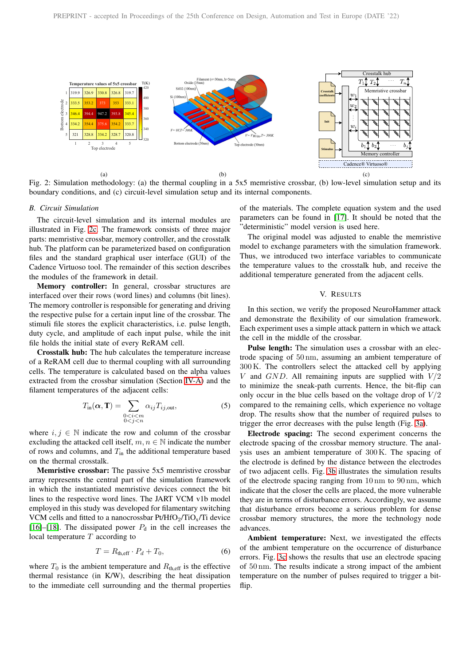<span id="page-2-1"></span>

Fig. 2: Simulation methodology: (a) the thermal coupling in a 5x5 memristive crossbar, (b) low-level simulation setup and its boundary conditions, and (c) circuit-level simulation setup and its internal components.

## *B. Circuit Simulation*

The circuit-level simulation and its internal modules are illustrated in Fig. [2c.](#page-2-2) The framework consists of three major parts: memristive crossbar, memory controller, and the crosstalk hub. The platform can be parameterized based on configuration files and the standard graphical user interface (GUI) of the Cadence Virtuoso tool. The remainder of this section describes the modules of the framework in detail.

Memory controller: In general, crossbar structures are interfaced over their rows (word lines) and columns (bit lines). The memory controller is responsible for generating and driving the respective pulse for a certain input line of the crossbar. The stimuli file stores the explicit characteristics, i.e. pulse length, duty cycle, and amplitude of each input pulse, while the init file holds the initial state of every ReRAM cell.

Crosstalk hub: The hub calculates the temperature increase of a ReRAM cell due to thermal coupling with all surrounding cells. The temperature is calculated based on the alpha values extracted from the crossbar simulation (Section [IV-A\)](#page-1-6) and the filament temperatures of the adjacent cells:

$$
T_{\text{in}}(\alpha, \mathbf{T}) = \sum_{\substack{0 < i < m \\ 0 < j < n}} \alpha_{ij} T_{ij, \text{out}},\tag{5}
$$

where  $i, j \in \mathbb{N}$  indicate the row and column of the crossbar excluding the attacked cell itself,  $m, n \in \mathbb{N}$  indicate the number of rows and columns, and  $T_{\text{in}}$  the additional temperature based on the thermal crosstalk.

Memristive crossbar: The passive 5x5 memristive crossbar array represents the central part of the simulation framework in which the instantiated memristive devices connect the bit lines to the respective word lines. The JART VCM v1b model employed in this study was developed for filamentary switching VCM cells and fitted to a nanocrossbar  $Pt/HfO_2/TiO_x/Ti$  device [\[16\]](#page-3-15)–[\[18\]](#page-3-16). The dissipated power  $P_d$  in the cell increases the local temperature  $T$  according to

$$
T = R_{\text{th,eff}} \cdot P_d + T_0,\tag{6}
$$

where  $T_0$  is the ambient temperature and  $R_{\text{th,eff}}$  is the effective thermal resistance (in K/W), describing the heat dissipation to the immediate cell surrounding and the thermal properties <span id="page-2-2"></span><span id="page-2-0"></span>of the materials. The complete equation system and the used parameters can be found in [\[17\]](#page-3-17). It should be noted that the "deterministic" model version is used here.

The original model was adjusted to enable the memristive model to exchange parameters with the simulation framework. Thus, we introduced two interface variables to communicate the temperature values to the crosstalk hub, and receive the additional temperature generated from the adjacent cells.

#### V. RESULTS

In this section, we verify the proposed NeuroHammer attack and demonstrate the flexibility of our simulation framework. Each experiment uses a simple attack pattern in which we attack the cell in the middle of the crossbar.

Pulse length: The simulation uses a crossbar with an electrode spacing of 50 nm, assuming an ambient temperature of 300 K. The controllers select the attacked cell by applying V and  $GND$ . All remaining inputs are supplied with  $V/2$ to minimize the sneak-path currents. Hence, the bit-flip can only occur in the blue cells based on the voltage drop of  $V/2$ compared to the remaining cells, which experience no voltage drop. The results show that the number of required pulses to trigger the error decreases with the pulse length (Fig. [3a\)](#page-3-18).

Electrode spacing: The second experiment concerns the electrode spacing of the crossbar memory structure. The analysis uses an ambient temperature of 300 K. The spacing of the electrode is defined by the distance between the electrodes of two adjacent cells. Fig. [3b](#page-3-19) illustrates the simulation results of the electrode spacing ranging from 10 nm to 90 nm, which indicate that the closer the cells are placed, the more vulnerable they are in terms of disturbance errors. Accordingly, we assume that disturbance errors become a serious problem for dense crossbar memory structures, the more the technology node advances.

Ambient temperature: Next, we investigated the effects of the ambient temperature on the occurrence of disturbance errors. Fig. [3c](#page-3-20) shows the results that use an electrode spacing of 50 nm. The results indicate a strong impact of the ambient temperature on the number of pulses required to trigger a bitflip.